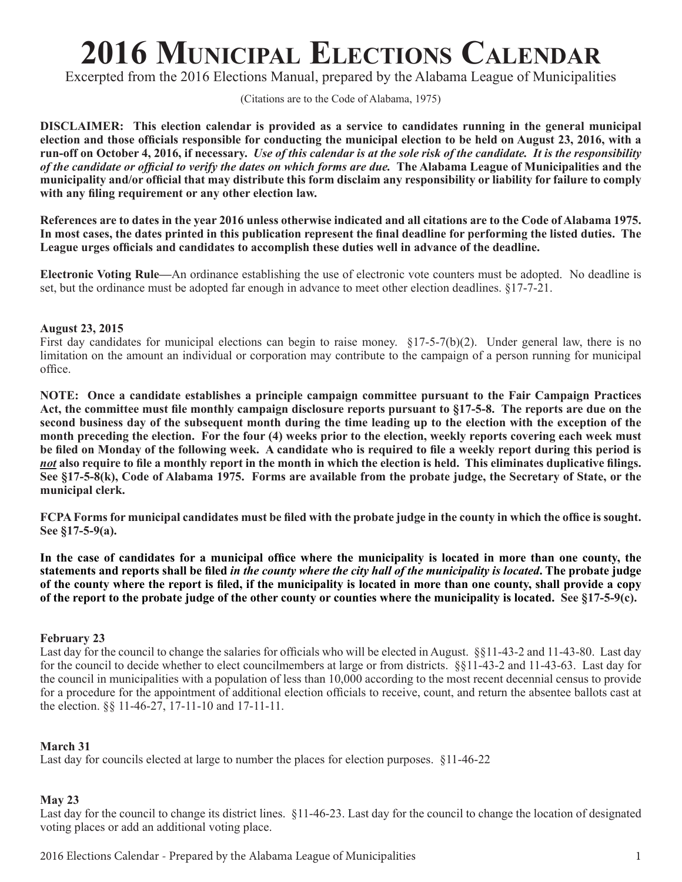# **2016 Municipal Elections Calendar**

Excerpted from the 2016 Elections Manual, prepared by the Alabama League of Municipalities

(Citations are to the Code of Alabama, 1975)

**DISCLAIMER: This election calendar is provided as a service to candidates running in the general municipal election and those officials responsible for conducting the municipal election to be held on August 23, 2016, with a run-off on October 4, 2016, if necessary.** *Use of this calendar is at the sole risk of the candidate. It is the responsibility of the candidate or official to verify the dates on which forms are due.* **The Alabama League of Municipalities and the municipality and/or official that may distribute this form disclaim any responsibility or liability for failure to comply with any filing requirement or any other election law.**

**References are to dates in the year 2016 unless otherwise indicated and all citations are to the Code of Alabama 1975. In most cases, the dates printed in this publication represent the final deadline for performing the listed duties. The League urges officials and candidates to accomplish these duties well in advance of the deadline.** 

**Electronic Voting Rule—**An ordinance establishing the use of electronic vote counters must be adopted. No deadline is set, but the ordinance must be adopted far enough in advance to meet other election deadlines. §17-7-21.

## **August 23, 2015**

First day candidates for municipal elections can begin to raise money. §17-5-7(b)(2). Under general law, there is no limitation on the amount an individual or corporation may contribute to the campaign of a person running for municipal office.

**NOTE: Once a candidate establishes a principle campaign committee pursuant to the Fair Campaign Practices Act, the committee must file monthly campaign disclosure reports pursuant to §17-5-8. The reports are due on the second business day of the subsequent month during the time leading up to the election with the exception of the month preceding the election. For the four (4) weeks prior to the election, weekly reports covering each week must be filed on Monday of the following week. A candidate who is required to file a weekly report during this period is**  *not* **also require to file a monthly report in the month in which the election is held. This eliminates duplicative filings. See §17-5-8(k), Code of Alabama 1975. Forms are available from the probate judge, the Secretary of State, or the municipal clerk.**

**FCPA Forms for municipal candidates must be filed with the probate judge in the county in which the office is sought. See §17-5-9(a).** 

**In the case of candidates for a municipal office where the municipality is located in more than one county, the statements and reports shall be filed** *in the county where the city hall of the municipality is located***. The probate judge of the county where the report is filed, if the municipality is located in more than one county, shall provide a copy of the report to the probate judge of the other county or counties where the municipality is located. See §17-5-9(c).**

#### **February 23**

Last day for the council to change the salaries for officials who will be elected in August. §§11-43-2 and 11-43-80. Last day for the council to decide whether to elect councilmembers at large or from districts. §§11-43-2 and 11-43-63. Last day for the council in municipalities with a population of less than 10,000 according to the most recent decennial census to provide for a procedure for the appointment of additional election officials to receive, count, and return the absentee ballots cast at the election. §§ 11-46-27, 17-11-10 and 17-11-11.

# **March 31**

Last day for councils elected at large to number the places for election purposes. §11-46-22

# **May 23**

Last day for the council to change its district lines. §11-46-23. Last day for the council to change the location of designated voting places or add an additional voting place.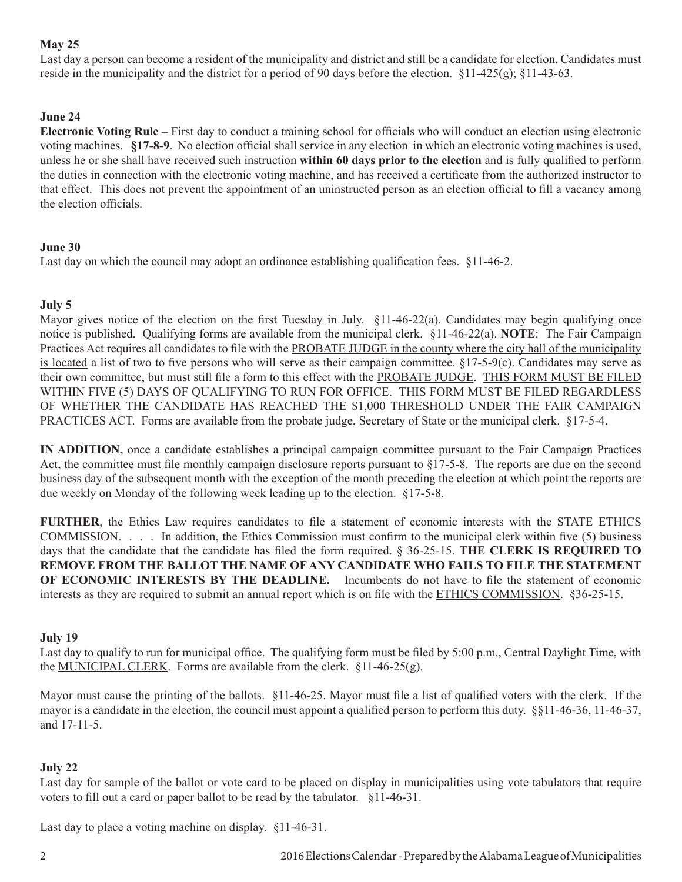# **May 25**

Last day a person can become a resident of the municipality and district and still be a candidate for election. Candidates must reside in the municipality and the district for a period of 90 days before the election. §11-425(g); §11-43-63.

# **June 24**

**Electronic Voting Rule –** First day to conduct a training school for officials who will conduct an election using electronic voting machines. **§17-8-9**. No election official shall service in any election in which an electronic voting machines is used, unless he or she shall have received such instruction **within 60 days prior to the election** and is fully qualified to perform the duties in connection with the electronic voting machine, and has received a certificate from the authorized instructor to that effect. This does not prevent the appointment of an uninstructed person as an election official to fill a vacancy among the election officials.

# **June 30**

Last day on which the council may adopt an ordinance establishing qualification fees. §11-46-2.

# **July 5**

Mayor gives notice of the election on the first Tuesday in July. §11-46-22(a). Candidates may begin qualifying once notice is published. Qualifying forms are available from the municipal clerk. §11-46-22(a). **NOTE**: The Fair Campaign Practices Act requires all candidates to file with the PROBATE JUDGE in the county where the city hall of the municipality is located a list of two to five persons who will serve as their campaign committee. §17-5-9(c). Candidates may serve as their own committee, but must still file a form to this effect with the PROBATE JUDGE. THIS FORM MUST BE FILED WITHIN FIVE (5) DAYS OF QUALIFYING TO RUN FOR OFFICE. THIS FORM MUST BE FILED REGARDLESS OF WHETHER THE CANDIDATE HAS REACHED THE \$1,000 THRESHOLD UNDER THE FAIR CAMPAIGN PRACTICES ACT. Forms are available from the probate judge, Secretary of State or the municipal clerk. §17-5-4.

**IN ADDITION,** once a candidate establishes a principal campaign committee pursuant to the Fair Campaign Practices Act, the committee must file monthly campaign disclosure reports pursuant to  $\S17-5-8$ . The reports are due on the second business day of the subsequent month with the exception of the month preceding the election at which point the reports are due weekly on Monday of the following week leading up to the election. §17-5-8.

**FURTHER**, the Ethics Law requires candidates to file a statement of economic interests with the STATE ETHICS COMMISSION. . . . In addition, the Ethics Commission must confirm to the municipal clerk within five (5) business days that the candidate that the candidate has filed the form required. § 36-25-15. **THE CLERK IS REQUIRED TO REMOVE FROM THE BALLOT THE NAME OF ANY CANDIDATE WHO FAILS TO FILE THE STATEMENT OF ECONOMIC INTERESTS BY THE DEADLINE.** Incumbents do not have to file the statement of economic interests as they are required to submit an annual report which is on file with the ETHICS COMMISSION. §36-25-15.

# **July 19**

Last day to qualify to run for municipal office. The qualifying form must be filed by 5:00 p.m., Central Daylight Time, with the MUNICIPAL CLERK. Forms are available from the clerk.  $\S 11-46-25(g)$ .

Mayor must cause the printing of the ballots. §11-46-25. Mayor must file a list of qualified voters with the clerk. If the mayor is a candidate in the election, the council must appoint a qualified person to perform this duty. §§11-46-36, 11-46-37, and 17-11-5.

# **July 22**

Last day for sample of the ballot or vote card to be placed on display in municipalities using vote tabulators that require voters to fill out a card or paper ballot to be read by the tabulator. §11-46-31.

Last day to place a voting machine on display. §11-46-31.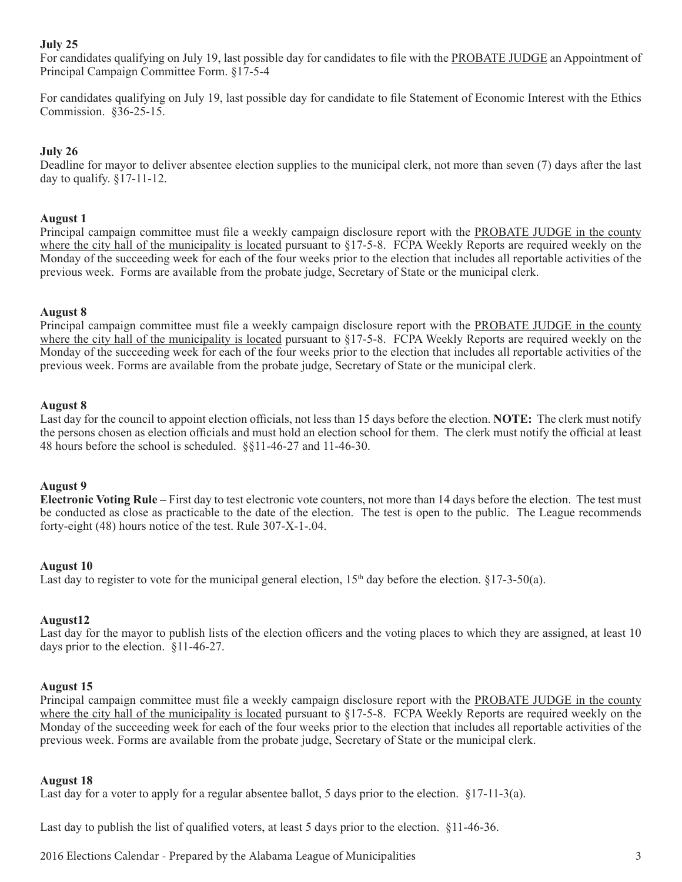## **July 25**

For candidates qualifying on July 19, last possible day for candidates to file with the PROBATE JUDGE an Appointment of Principal Campaign Committee Form. §17-5-4

For candidates qualifying on July 19, last possible day for candidate to file Statement of Economic Interest with the Ethics Commission. §36-25-15.

## **July 26**

Deadline for mayor to deliver absentee election supplies to the municipal clerk, not more than seven (7) days after the last day to qualify.  $\S 17$ -11-12.

## **August 1**

Principal campaign committee must file a weekly campaign disclosure report with the PROBATE JUDGE in the county where the city hall of the municipality is located pursuant to §17-5-8. FCPA Weekly Reports are required weekly on the Monday of the succeeding week for each of the four weeks prior to the election that includes all reportable activities of the previous week. Forms are available from the probate judge, Secretary of State or the municipal clerk.

#### **August 8**

Principal campaign committee must file a weekly campaign disclosure report with the PROBATE JUDGE in the county where the city hall of the municipality is located pursuant to §17-5-8. FCPA Weekly Reports are required weekly on the Monday of the succeeding week for each of the four weeks prior to the election that includes all reportable activities of the previous week. Forms are available from the probate judge, Secretary of State or the municipal clerk.

#### **August 8**

Last day for the council to appoint election officials, not less than 15 days before the election. **NOTE:** The clerk must notify the persons chosen as election officials and must hold an election school for them. The clerk must notify the official at least 48 hours before the school is scheduled. §§11-46-27 and 11-46-30.

#### **August 9**

**Electronic Voting Rule –** First day to test electronic vote counters, not more than 14 days before the election. The test must be conducted as close as practicable to the date of the election. The test is open to the public. The League recommends forty-eight (48) hours notice of the test. Rule 307-X-1-.04.

#### **August 10**

Last day to register to vote for the municipal general election,  $15<sup>th</sup>$  day before the election.  $\S 17-3-50(a)$ .

#### **August12**

Last day for the mayor to publish lists of the election officers and the voting places to which they are assigned, at least 10 days prior to the election. §11-46-27.

#### **August 15**

Principal campaign committee must file a weekly campaign disclosure report with the PROBATE JUDGE in the county where the city hall of the municipality is located pursuant to §17-5-8. FCPA Weekly Reports are required weekly on the Monday of the succeeding week for each of the four weeks prior to the election that includes all reportable activities of the previous week. Forms are available from the probate judge, Secretary of State or the municipal clerk.

#### **August 18**

Last day for a voter to apply for a regular absentee ballot, 5 days prior to the election.  $\S 17$ -11-3(a).

Last day to publish the list of qualified voters, at least 5 days prior to the election. §11-46-36.

2016 Elections Calendar - Prepared by the Alabama League of Municipalities 3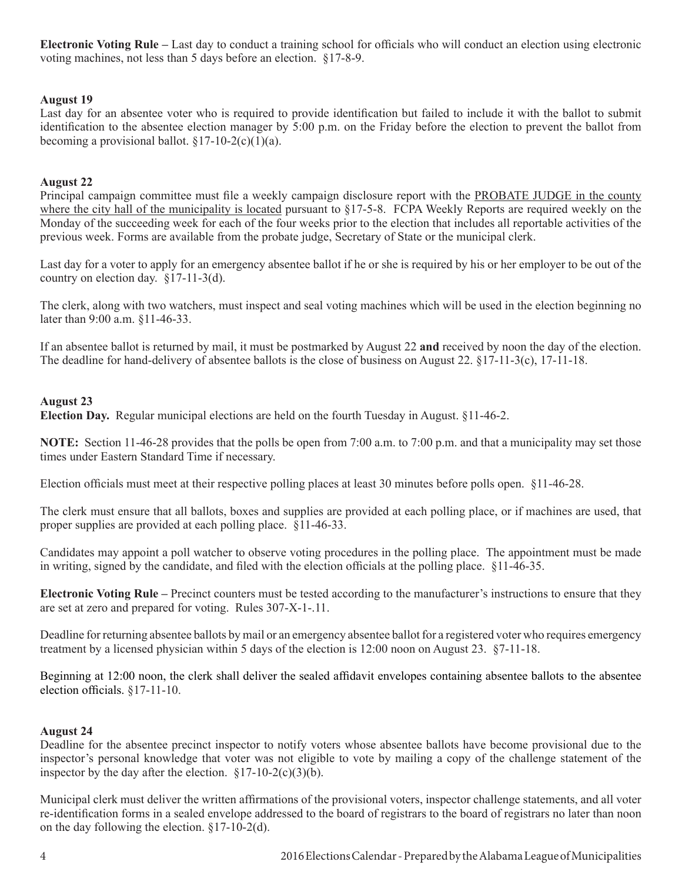**Electronic Voting Rule –** Last day to conduct a training school for officials who will conduct an election using electronic voting machines, not less than 5 days before an election. §17-8-9.

## **August 19**

Last day for an absentee voter who is required to provide identification but failed to include it with the ballot to submit identification to the absentee election manager by 5:00 p.m. on the Friday before the election to prevent the ballot from becoming a provisional ballot.  $\S 17-10-2(c)(1)(a)$ .

## **August 22**

Principal campaign committee must file a weekly campaign disclosure report with the PROBATE JUDGE in the county where the city hall of the municipality is located pursuant to §17-5-8. FCPA Weekly Reports are required weekly on the Monday of the succeeding week for each of the four weeks prior to the election that includes all reportable activities of the previous week. Forms are available from the probate judge, Secretary of State or the municipal clerk.

Last day for a voter to apply for an emergency absentee ballot if he or she is required by his or her employer to be out of the country on election day. §17-11-3(d).

The clerk, along with two watchers, must inspect and seal voting machines which will be used in the election beginning no later than 9:00 a.m. §11-46-33.

If an absentee ballot is returned by mail, it must be postmarked by August 22 **and** received by noon the day of the election. The deadline for hand-delivery of absentee ballots is the close of business on August 22. §17-11-3(c), 17-11-18.

#### **August 23**

**Election Day.** Regular municipal elections are held on the fourth Tuesday in August. §11-46-2.

**NOTE:** Section 11-46-28 provides that the polls be open from 7:00 a.m. to 7:00 p.m. and that a municipality may set those times under Eastern Standard Time if necessary.

Election officials must meet at their respective polling places at least 30 minutes before polls open. §11-46-28.

The clerk must ensure that all ballots, boxes and supplies are provided at each polling place, or if machines are used, that proper supplies are provided at each polling place. §11-46-33.

Candidates may appoint a poll watcher to observe voting procedures in the polling place. The appointment must be made in writing, signed by the candidate, and filed with the election officials at the polling place. §11-46-35.

**Electronic Voting Rule –** Precinct counters must be tested according to the manufacturer's instructions to ensure that they are set at zero and prepared for voting. Rules 307-X-1-.11.

Deadline for returning absentee ballots by mail or an emergency absentee ballot for a registered voter who requires emergency treatment by a licensed physician within 5 days of the election is 12:00 noon on August 23. §7-11-18.

Beginning at 12:00 noon, the clerk shall deliver the sealed affidavit envelopes containing absentee ballots to the absentee election officials. §17-11-10.

#### **August 24**

Deadline for the absentee precinct inspector to notify voters whose absentee ballots have become provisional due to the inspector's personal knowledge that voter was not eligible to vote by mailing a copy of the challenge statement of the inspector by the day after the election.  $\S 17-10-2(c)(3)(b)$ .

Municipal clerk must deliver the written affirmations of the provisional voters, inspector challenge statements, and all voter re-identification forms in a sealed envelope addressed to the board of registrars to the board of registrars no later than noon on the day following the election. §17-10-2(d).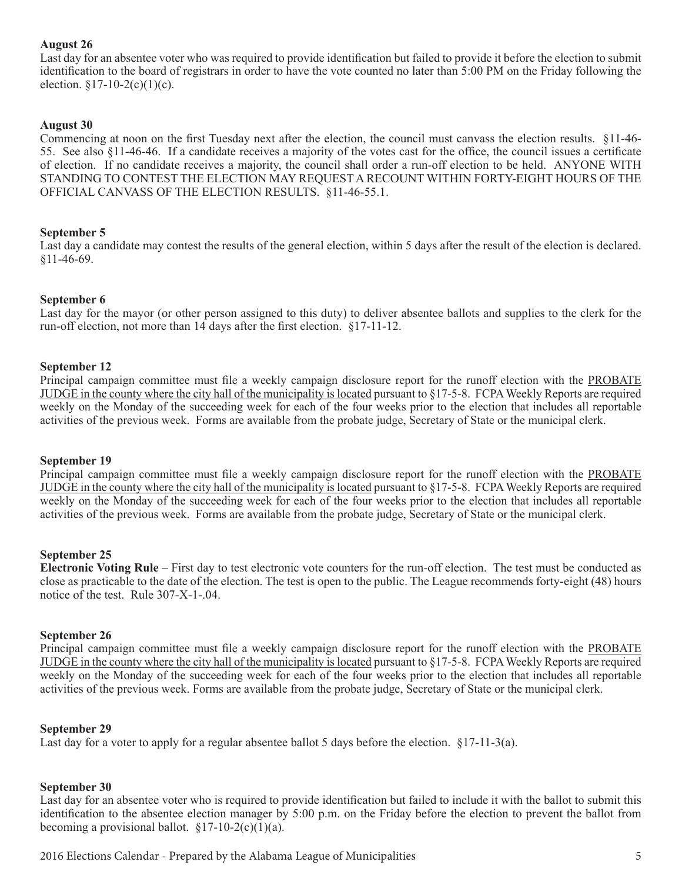#### **August 26**

Last day for an absentee voter who was required to provide identification but failed to provide it before the election to submit identification to the board of registrars in order to have the vote counted no later than 5:00 PM on the Friday following the election.  $$17-10-2(c)(1)(c)$ .

#### **August 30**

Commencing at noon on the first Tuesday next after the election, the council must canvass the election results. §11-46- 55. See also §11-46-46. If a candidate receives a majority of the votes cast for the office, the council issues a certificate of election. If no candidate receives a majority, the council shall order a run-off election to be held. ANYONE WITH STANDING TO CONTEST THE ELECTION MAY REQUEST A RECOUNT WITHIN FORTY-EIGHT HOURS OF THE OFFICIAL CANVASS OF THE ELECTION RESULTS. §11-46-55.1.

#### **September 5**

Last day a candidate may contest the results of the general election, within 5 days after the result of the election is declared. §11-46-69.

#### **September 6**

Last day for the mayor (or other person assigned to this duty) to deliver absentee ballots and supplies to the clerk for the run-off election, not more than 14 days after the first election. §17-11-12.

#### **September 12**

Principal campaign committee must file a weekly campaign disclosure report for the runoff election with the PROBATE JUDGE in the county where the city hall of the municipality is located pursuant to §17-5-8. FCPA Weekly Reports are required weekly on the Monday of the succeeding week for each of the four weeks prior to the election that includes all reportable activities of the previous week. Forms are available from the probate judge, Secretary of State or the municipal clerk.

#### **September 19**

Principal campaign committee must file a weekly campaign disclosure report for the runoff election with the PROBATE JUDGE in the county where the city hall of the municipality is located pursuant to §17-5-8. FCPA Weekly Reports are required weekly on the Monday of the succeeding week for each of the four weeks prior to the election that includes all reportable activities of the previous week. Forms are available from the probate judge, Secretary of State or the municipal clerk.

#### **September 25**

**Electronic Voting Rule –** First day to test electronic vote counters for the run-off election. The test must be conducted as close as practicable to the date of the election. The test is open to the public. The League recommends forty-eight (48) hours notice of the test. Rule 307-X-1-.04.

#### **September 26**

Principal campaign committee must file a weekly campaign disclosure report for the runoff election with the PROBATE JUDGE in the county where the city hall of the municipality is located pursuant to §17-5-8. FCPA Weekly Reports are required weekly on the Monday of the succeeding week for each of the four weeks prior to the election that includes all reportable activities of the previous week. Forms are available from the probate judge, Secretary of State or the municipal clerk.

#### **September 29**

Last day for a voter to apply for a regular absentee ballot 5 days before the election.  $\S 17$ -11-3(a).

# **September 30**

Last day for an absentee voter who is required to provide identification but failed to include it with the ballot to submit this identification to the absentee election manager by 5:00 p.m. on the Friday before the election to prevent the ballot from becoming a provisional ballot.  $§17-10-2(c)(1)(a)$ .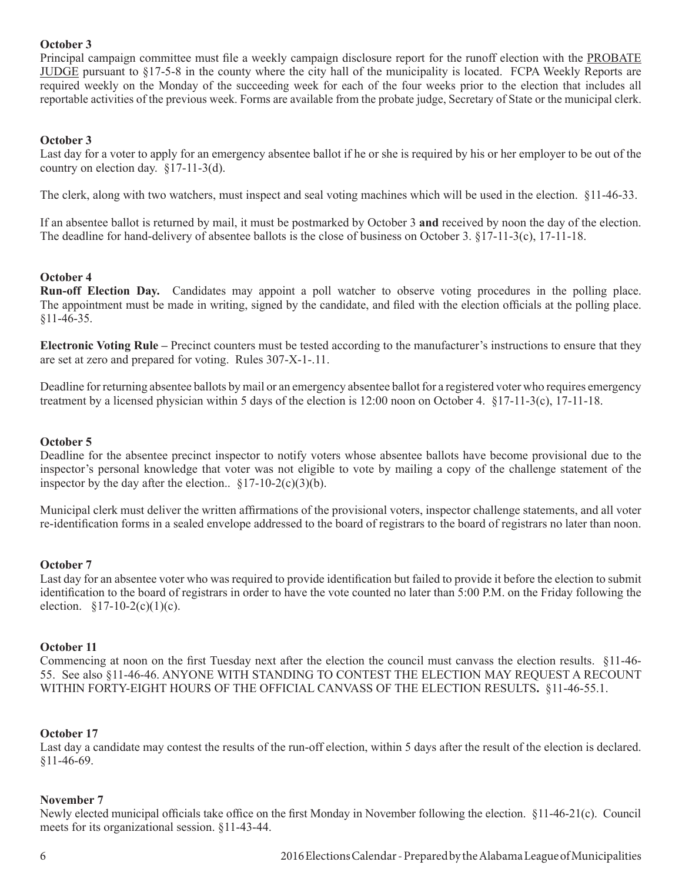## **October 3**

Principal campaign committee must file a weekly campaign disclosure report for the runoff election with the PROBATE JUDGE pursuant to §17-5-8 in the county where the city hall of the municipality is located. FCPA Weekly Reports are required weekly on the Monday of the succeeding week for each of the four weeks prior to the election that includes all reportable activities of the previous week. Forms are available from the probate judge, Secretary of State or the municipal clerk.

## **October 3**

Last day for a voter to apply for an emergency absentee ballot if he or she is required by his or her employer to be out of the country on election day. §17-11-3(d).

The clerk, along with two watchers, must inspect and seal voting machines which will be used in the election. §11-46-33.

If an absentee ballot is returned by mail, it must be postmarked by October 3 **and** received by noon the day of the election. The deadline for hand-delivery of absentee ballots is the close of business on October 3. §17-11-3(c), 17-11-18.

## **October 4**

**Run-off Election Day.** Candidates may appoint a poll watcher to observe voting procedures in the polling place. The appointment must be made in writing, signed by the candidate, and filed with the election officials at the polling place. §11-46-35.

**Electronic Voting Rule –** Precinct counters must be tested according to the manufacturer's instructions to ensure that they are set at zero and prepared for voting. Rules 307-X-1-.11.

Deadline for returning absentee ballots by mail or an emergency absentee ballot for a registered voter who requires emergency treatment by a licensed physician within 5 days of the election is 12:00 noon on October 4. §17-11-3(c), 17-11-18.

## **October 5**

Deadline for the absentee precinct inspector to notify voters whose absentee ballots have become provisional due to the inspector's personal knowledge that voter was not eligible to vote by mailing a copy of the challenge statement of the inspector by the day after the election..  $\S 17-10-2(c)(3)(b)$ .

Municipal clerk must deliver the written affirmations of the provisional voters, inspector challenge statements, and all voter re-identification forms in a sealed envelope addressed to the board of registrars to the board of registrars no later than noon.

#### **October 7**

Last day for an absentee voter who was required to provide identification but failed to provide it before the election to submit identification to the board of registrars in order to have the vote counted no later than 5:00 P.M. on the Friday following the election.  $$17-10-2(c)(1)(c)$ .

#### **October 11**

Commencing at noon on the first Tuesday next after the election the council must canvass the election results. §11-46- 55. See also §11-46-46. ANYONE WITH STANDING TO CONTEST THE ELECTION MAY REQUEST A RECOUNT WITHIN FORTY-EIGHT HOURS OF THE OFFICIAL CANVASS OF THE ELECTION RESULTS**.** §11-46-55.1.

#### **October 17**

Last day a candidate may contest the results of the run-off election, within 5 days after the result of the election is declared. §11-46-69.

#### **November 7**

Newly elected municipal officials take office on the first Monday in November following the election. §11-46-21(c). Council meets for its organizational session. §11-43-44.